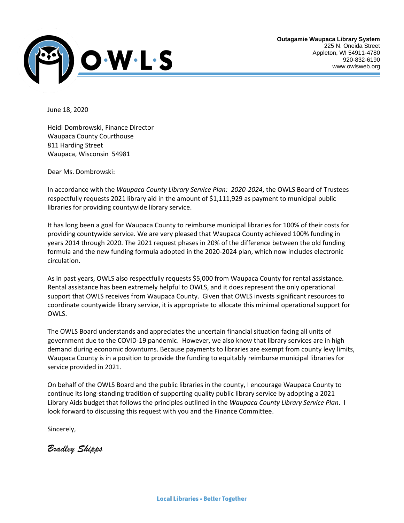

June 18, 2020

Heidi Dombrowski, Finance Director Waupaca County Courthouse 811 Harding Street Waupaca, Wisconsin 54981

Dear Ms. Dombrowski:

In accordance with the *Waupaca County Library Service Plan: 2020-2024*, the OWLS Board of Trustees respectfully requests 2021 library aid in the amount of \$1,111,929 as payment to municipal public libraries for providing countywide library service.

It has long been a goal for Waupaca County to reimburse municipal libraries for 100% of their costs for providing countywide service. We are very pleased that Waupaca County achieved 100% funding in years 2014 through 2020. The 2021 request phases in 20% of the difference between the old funding formula and the new funding formula adopted in the 2020-2024 plan, which now includes electronic circulation.

As in past years, OWLS also respectfully requests \$5,000 from Waupaca County for rental assistance. Rental assistance has been extremely helpful to OWLS, and it does represent the only operational support that OWLS receives from Waupaca County. Given that OWLS invests significant resources to coordinate countywide library service, it is appropriate to allocate this minimal operational support for OWLS.

The OWLS Board understands and appreciates the uncertain financial situation facing all units of government due to the COVID-19 pandemic. However, we also know that library services are in high demand during economic downturns. Because payments to libraries are exempt from county levy limits, Waupaca County is in a position to provide the funding to equitably reimburse municipal libraries for service provided in 2021.

On behalf of the OWLS Board and the public libraries in the county, I encourage Waupaca County to continue its long-standing tradition of supporting quality public library service by adopting a 2021 Library Aids budget that follows the principles outlined in the *Waupaca County Library Service Plan*. I look forward to discussing this request with you and the Finance Committee.

Sincerely,

*Bradley Shipps*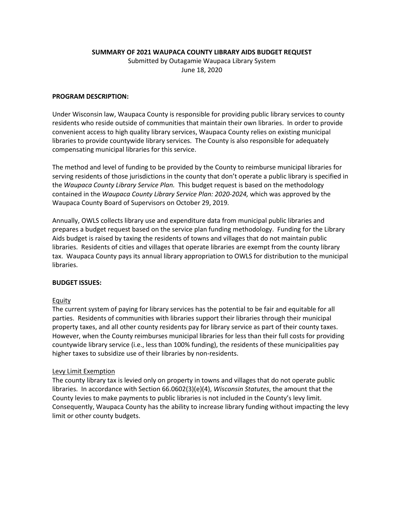**SUMMARY OF 2021 WAUPACA COUNTY LIBRARY AIDS BUDGET REQUEST**

Submitted by Outagamie Waupaca Library System June 18, 2020

# **PROGRAM DESCRIPTION:**

Under Wisconsin law, Waupaca County is responsible for providing public library services to county residents who reside outside of communities that maintain their own libraries. In order to provide convenient access to high quality library services, Waupaca County relies on existing municipal libraries to provide countywide library services. The County is also responsible for adequately compensating municipal libraries for this service.

The method and level of funding to be provided by the County to reimburse municipal libraries for serving residents of those jurisdictions in the county that don't operate a public library is specified in the *Waupaca County Library Service Plan.* This budget request is based on the methodology contained in the *Waupaca County Library Service Plan: 2020-2024,* which was approved by the Waupaca County Board of Supervisors on October 29, 2019*.*

Annually, OWLS collects library use and expenditure data from municipal public libraries and prepares a budget request based on the service plan funding methodology. Funding for the Library Aids budget is raised by taxing the residents of towns and villages that do not maintain public libraries. Residents of cities and villages that operate libraries are exempt from the county library tax. Waupaca County pays its annual library appropriation to OWLS for distribution to the municipal libraries.

# **BUDGET ISSUES:**

# Equity

The current system of paying for library services has the potential to be fair and equitable for all parties. Residents of communities with libraries support their libraries through their municipal property taxes, and all other county residents pay for library service as part of their county taxes. However, when the County reimburses municipal libraries for less than their full costs for providing countywide library service (i.e., less than 100% funding), the residents of these municipalities pay higher taxes to subsidize use of their libraries by non-residents.

#### Levy Limit Exemption

The county library tax is levied only on property in towns and villages that do not operate public libraries. In accordance with Section 66.0602(3)(e)(4), *Wisconsin Statutes*, the amount that the County levies to make payments to public libraries is not included in the County's levy limit. Consequently, Waupaca County has the ability to increase library funding without impacting the levy limit or other county budgets.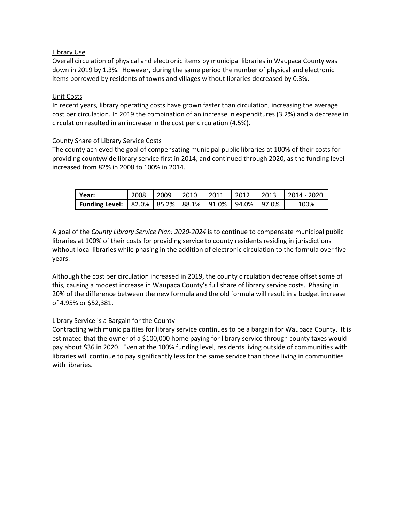# Library Use

Overall circulation of physical and electronic items by municipal libraries in Waupaca County was down in 2019 by 1.3%. However, during the same period the number of physical and electronic items borrowed by residents of towns and villages without libraries decreased by 0.3%.

# Unit Costs

In recent years, library operating costs have grown faster than circulation, increasing the average cost per circulation. In 2019 the combination of an increase in expenditures (3.2%) and a decrease in circulation resulted in an increase in the cost per circulation (4.5%).

# County Share of Library Service Costs

The county achieved the goal of compensating municipal public libraries at 100% of their costs for providing countywide library service first in 2014, and continued through 2020, as the funding level increased from 82% in 2008 to 100% in 2014.

| l Year:                                                        | 2008 | 2009 | 2010 | $\mid$ 2011 | $\sqrt{2012}$ | $\vert$ 2013 | $12014 - 2020$ |
|----------------------------------------------------------------|------|------|------|-------------|---------------|--------------|----------------|
| Funding Level:   82.0%   85.2%   88.1%   91.0%   94.0%   97.0% |      |      |      |             |               |              | 100%           |

A goal of the *County Library Service Plan: 2020-2024* is to continue to compensate municipal public libraries at 100% of their costs for providing service to county residents residing in jurisdictions without local libraries while phasing in the addition of electronic circulation to the formula over five years.

Although the cost per circulation increased in 2019, the county circulation decrease offset some of this, causing a modest increase in Waupaca County's full share of library service costs. Phasing in 20% of the difference between the new formula and the old formula will result in a budget increase of 4.95% or \$52,381.

# Library Service is a Bargain for the County

Contracting with municipalities for library service continues to be a bargain for Waupaca County. It is estimated that the owner of a \$100,000 home paying for library service through county taxes would pay about \$36 in 2020. Even at the 100% funding level, residents living outside of communities with libraries will continue to pay significantly less for the same service than those living in communities with libraries.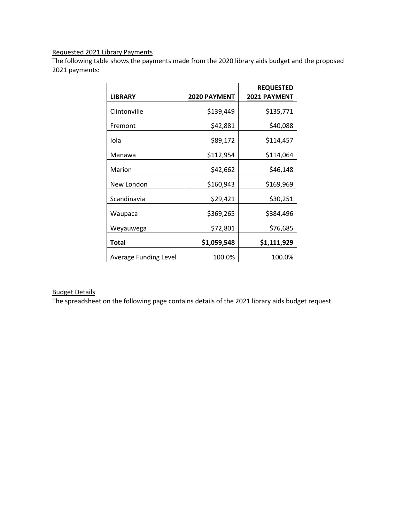# Requested 2021 Library Payments

The following table shows the payments made from the 2020 library aids budget and the proposed 2021 payments:

|                              |                     | <b>REQUESTED</b>    |
|------------------------------|---------------------|---------------------|
| <b>LIBRARY</b>               | <b>2020 PAYMENT</b> | <b>2021 PAYMENT</b> |
| Clintonville                 | \$139,449           | \$135,771           |
| Fremont                      | \$42,881            | \$40,088            |
| Iola                         | \$89,172            | \$114,457           |
| Manawa                       | \$112,954           | \$114,064           |
| Marion                       | \$42,662            | \$46,148            |
| New London                   | \$160,943           | \$169,969           |
| Scandinavia                  | \$29,421            | \$30,251            |
| Waupaca                      | \$369,265           | \$384,496           |
| Weyauwega                    | \$72,801            | \$76,685            |
| <b>Total</b>                 | \$1,059,548         | \$1,111,929         |
| <b>Average Funding Level</b> | 100.0%              | 100.0%              |

# Budget Details

The spreadsheet on the following page contains details of the 2021 library aids budget request.